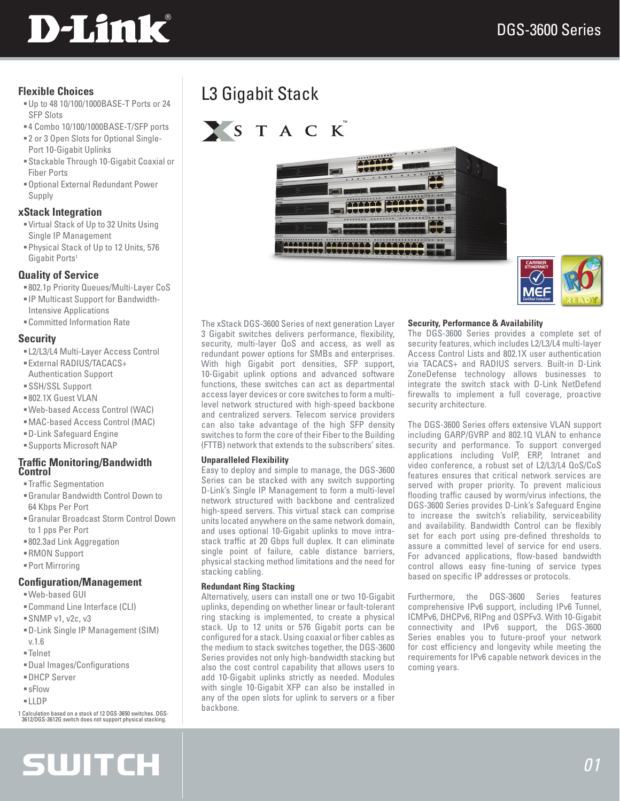

#### **Flexible Choices**

- Up to 48 10/100/1000BASE-T Ports or 24 SFP Slots
- 4 Combo 10/100/1000BASE-T/SFP ports 2 or 3 Open Slots for Optional Single-
- Port 10-Gigabit Uplinks
- Stackable Through 10-Gigabit Coaxial or Fiber Ports
- Optional External Redundant Power Supply

#### **xStack Integration**

- Virtual Stack of Up to 32 Units Using Single IP Management
- Physical Stack of Up to 12 Units, 576 Gigabit Ports<sup>1</sup>

#### **Quality of Service**

- 802.1p Priority Queues/Multi-Layer CoS
- IP Multicast Support for Bandwidth-Intensive Applications
- Committed Information Rate

#### **Security**

- L2/L3/L4 Multi-Layer Access Control
- External RADIUS/TACACS+ Authentication Support
- SSH/SSL Support
- 802.1X Guest VLAN
- Web-based Access Control (WAC)
- MAC-based Access Control (MAC)
- D-Link Safeguard Engine
- Supports Microsoft NAP

#### **Traffic Monitoring/Bandwidth Control**

- Traffic Segmentation
- Granular Bandwidth Control Down to 64 Kbps Per Port
- Granular Broadcast Storm Control Down to 1 pps Per Port
- 802.3ad Link Aggregation
- RMON Support
- Port Mirroring

#### **Configuration/Management**

- Web-based GUI
- Command Line Interface (CLI)
- SNMP v1, v2c, v3
- D-Link Single IP Management (SIM) v.1.6
- Telnet
- Dual Images/Configurations
- DHCP Server
- sFlow
- LLDP

1 Calculation based on a stack of 12 DGS-3650 switches. DGS-3612/DGS-3612G switch does not support physical stacking.

## **SWITCH**

## L3 Gigabit Stack







The xStack DGS-3600 Series of next generation Layer 3 Gigabit switches delivers performance, flexibility, security, multi-layer QoS and access, as well as redundant power options for SMBs and enterprises. With high Gigabit port densities, SFP support, 10-Gigabit uplink options and advanced software functions, these switches can act as departmental access layer devices or core switches to form a multilevel network structured with high-speed backbone and centralized servers. Telecom service providers can also take advantage of the high SFP density switches to form the core of their Fiber to the Building (FTTB) network that extends to the subscribers' sites.

#### **Unparalleled Flexibility**

Easy to deploy and simple to manage, the DGS-3600 Series can be stacked with any switch supporting D-Link's Single IP Management to form a multi-level network structured with backbone and centralized high-speed servers. This virtual stack can comprise units located anywhere on the same network domain, and uses optional 10-Gigabit uplinks to move intrastack traffic at 20 Gbps full duplex. It can eliminate single point of failure, cable distance barriers, physical stacking method limitations and the need for stacking cabling.

#### **Redundant Ring Stacking**

Alternatively, users can install one or two 10-Gigabit uplinks, depending on whether linear or fault-tolerant ring stacking is implemented, to create a physical stack. Up to 12 units or 576 Gigabit ports can be configured for a stack. Using coaxial or fiber cables as the medium to stack switches together, the DGS-3600 Series provides not only high-bandwidth stacking but also the cost control capability that allows users to add 10-Gigabit uplinks strictly as needed. Modules with single 10-Gigabit XFP can also be installed in any of the open slots for uplink to servers or a fiber backbone.

#### **Security, Performance & Availability**

The DGS-3600 Series provides a complete set of security features, which includes L2/L3/L4 multi-layer Access Control Lists and 802.1X user authentication via TACACS+ and RADIUS servers. Built-in D-Link ZoneDefense technology allows businesses to integrate the switch stack with D-Link NetDefend firewalls to implement a full coverage, proactive security architecture.

The DGS-3600 Series offers extensive VLAN support including GARP/GVRP and 802.1Q VLAN to enhance security and performance. To support converged applications including VoIP, ERP, Intranet and video conference, a robust set of L2/L3/L4 QoS/CoS features ensures that critical network services are served with proper priority. To prevent malicious flooding traffic caused by worm/virus infections, the DGS-3600 Series provides D-Link's Safeguard Engine to increase the switch's reliability, serviceability and availability. Bandwidth Control can be flexibly set for each port using pre-defined thresholds to assure a committed level of service for end users. For advanced applications, flow-based bandwidth control allows easy fine-tuning of service types based on specific IP addresses or protocols.

Furthermore, the DGS-3600 Series features comprehensive IPv6 support, including IPv6 Tunnel, ICMPv6, DHCPv6, RIPng and OSPFv3. With 10-Gigabit connectivity and IPv6 support, the DGS-3600 Series enables you to future-proof your network for cost efficiency and longevity while meeting the requirements for IPv6 capable network devices in the coming years.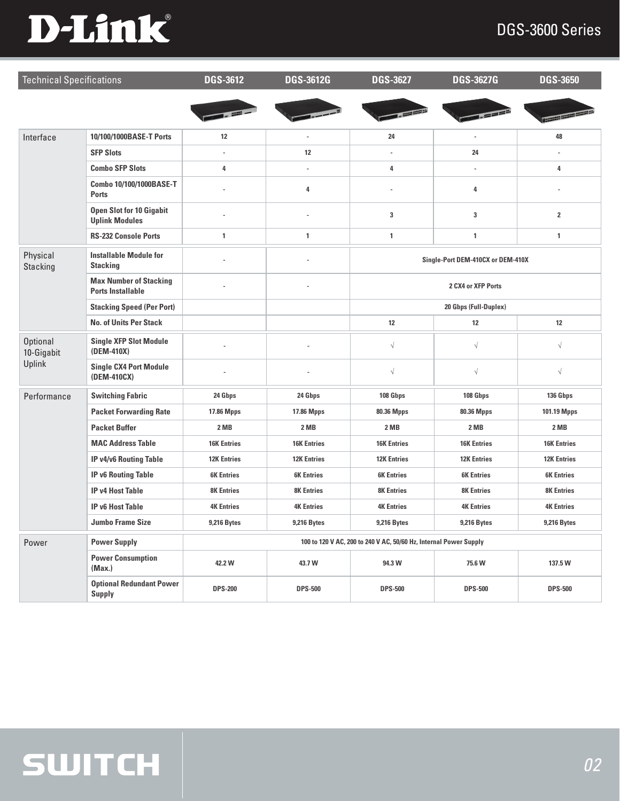# D-Link®

### DGS-3600 Series

| <b>Technical Specifications</b>         |                                                           | <b>DGS-3612</b>                                                   | <b>DGS-3612G</b>   | <b>DGS-3627</b>                   | <b>DGS-3627G</b>   | <b>DGS-3650</b>          |
|-----------------------------------------|-----------------------------------------------------------|-------------------------------------------------------------------|--------------------|-----------------------------------|--------------------|--------------------------|
|                                         |                                                           | <b>The contract of</b>                                            |                    |                                   |                    | <b>I Bernard Barbara</b> |
| Interface                               | 10/100/1000BASE-T Ports                                   | 12                                                                |                    | 24                                |                    | 48                       |
|                                         | <b>SFP Slots</b>                                          |                                                                   | 12                 |                                   | 24                 |                          |
|                                         | <b>Combo SFP Slots</b>                                    | 4                                                                 |                    | 4                                 |                    | 4                        |
|                                         | Combo 10/100/1000BASE-T<br><b>Ports</b>                   |                                                                   | 4                  |                                   | 4                  |                          |
|                                         | <b>Open Slot for 10 Gigabit</b><br><b>Uplink Modules</b>  |                                                                   | ä,                 | 3                                 | 3                  | $\overline{\mathbf{2}}$  |
|                                         | <b>RS-232 Console Ports</b>                               | 1                                                                 | 1                  | $\mathbf{1}$                      | 1                  | $\mathbf{1}$             |
| Physical<br><b>Stacking</b>             | <b>Installable Module for</b><br><b>Stacking</b>          |                                                                   |                    | Single-Port DEM-410CX or DEM-410X |                    |                          |
|                                         | <b>Max Number of Stacking</b><br><b>Ports Installable</b> |                                                                   |                    | 2 CX4 or XFP Ports                |                    |                          |
|                                         | <b>Stacking Speed (Per Port)</b>                          |                                                                   |                    | 20 Gbps (Full-Duplex)             |                    |                          |
|                                         | <b>No. of Units Per Stack</b>                             |                                                                   |                    | 12                                | 12                 | 12                       |
| <b>Optional</b><br>10-Gigabit<br>Uplink | <b>Single XFP Slot Module</b><br>(DEM-410X)               |                                                                   |                    | $\sqrt{}$                         | $\sqrt{}$          | $\sqrt{}$                |
|                                         | <b>Single CX4 Port Module</b><br>(DEM-410CX)              |                                                                   |                    | $\sqrt{}$                         | $\sqrt{}$          | $\sqrt{}$                |
| Performance                             | <b>Switching Fabric</b>                                   | 24 Gbps                                                           | 24 Gbps            | 108 Gbps                          | 108 Gbps           | 136 Gbps                 |
|                                         | <b>Packet Forwarding Rate</b>                             | 17.86 Mpps                                                        | 17.86 Mpps         | 80.36 Mpps                        | 80.36 Mpps         | 101.19 Mpps              |
|                                         | <b>Packet Buffer</b>                                      | 2 MB                                                              | 2 MB               | 2 MB                              | 2 MB               | 2 MB                     |
|                                         | <b>MAC Address Table</b>                                  | <b>16K Entries</b>                                                | <b>16K Entries</b> | <b>16K Entries</b>                | <b>16K Entries</b> | <b>16K Entries</b>       |
|                                         | <b>IP v4/v6 Routing Table</b>                             | <b>12K Entries</b>                                                | <b>12K Entries</b> | <b>12K Entries</b>                | <b>12K Entries</b> | <b>12K Entries</b>       |
|                                         | <b>IP v6 Routing Table</b>                                | <b>6K Entries</b>                                                 | <b>6K Entries</b>  | <b>6K Entries</b>                 | <b>6K Entries</b>  | <b>6K Entries</b>        |
|                                         | <b>IP v4 Host Table</b>                                   | <b>8K Entries</b>                                                 | <b>8K Entries</b>  | <b>8K Entries</b>                 | <b>8K Entries</b>  | <b>8K Entries</b>        |
|                                         | <b>IP v6 Host Table</b>                                   | <b>4K Entries</b>                                                 | <b>4K Entries</b>  | <b>4K Entries</b>                 | <b>4K Entries</b>  | <b>4K Entries</b>        |
|                                         | <b>Jumbo Frame Size</b>                                   | <b>9,216 Bytes</b>                                                | <b>9,216 Bytes</b> | <b>9,216 Bytes</b>                | <b>9,216 Bytes</b> | <b>9,216 Bytes</b>       |
| Power                                   | <b>Power Supply</b>                                       | 100 to 120 V AC, 200 to 240 V AC, 50/60 Hz, Internal Power Supply |                    |                                   |                    |                          |
|                                         | <b>Power Consumption</b><br>(Max.)                        | 42.2 W                                                            | 43.7 W             | 94.3 W                            | 75.6 W             | 137.5 W                  |
|                                         | <b>Optional Redundant Power</b><br><b>Supply</b>          | <b>DPS-200</b>                                                    | <b>DPS-500</b>     | <b>DPS-500</b>                    | <b>DPS-500</b>     | <b>DPS-500</b>           |

## **SWITCH**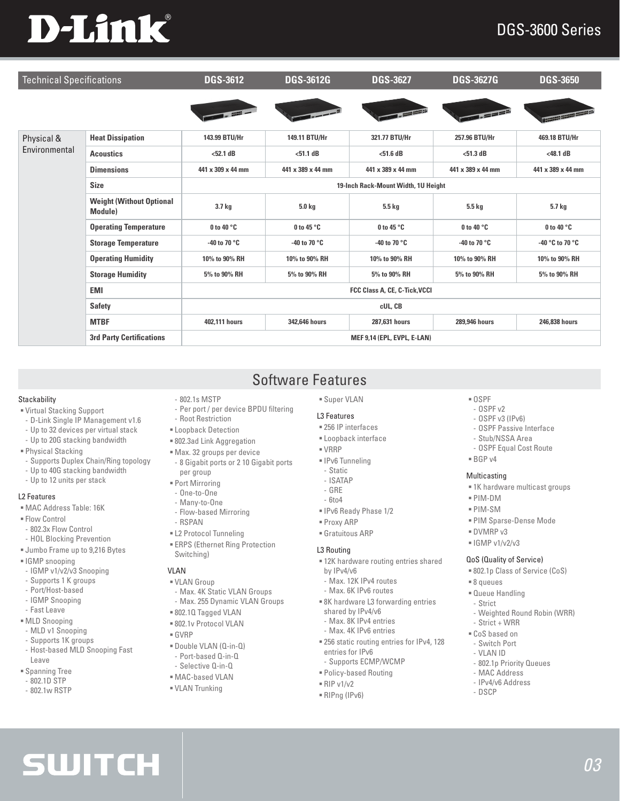# **D-Link**

### DGS-3600 Series

| <b>Technical Specifications</b> |                                            | <b>DGS-3612</b>                     | <b>DGS-3612G</b>       | <b>DGS-3627</b>       | <b>DGS-3627G</b>  | <b>DGS-3650</b>                    |  |
|---------------------------------|--------------------------------------------|-------------------------------------|------------------------|-----------------------|-------------------|------------------------------------|--|
|                                 |                                            |                                     |                        |                       | $=$ $=$ $=$ $5$   | <b>INSERIES SERIES ARRANGEMENT</b> |  |
| Physical &<br>Environmental     | <b>Heat Dissipation</b>                    | 143.99 BTU/Hr                       | 149.11 BTU/Hr          | 321.77 BTU/Hr         | 257.96 BTU/Hr     | 469.18 BTU/Hr                      |  |
|                                 | <b>Acoustics</b>                           | $<52.1$ dB                          | $51.1dB$               | $<$ 51.6 dB           | $<$ 51.3 dB       | $<$ 48.1 dB                        |  |
|                                 | <b>Dimensions</b>                          | 441 x 309 x 44 mm                   | 441 x 389 x 44 mm      | 441 x 389 x 44 mm     | 441 x 389 x 44 mm | 441 x 389 x 44 mm                  |  |
|                                 | <b>Size</b>                                | 19-Inch Rack-Mount Width, 1U Height |                        |                       |                   |                                    |  |
|                                 | <b>Weight (Without Optional</b><br>Module) | 3.7 kg                              | 5.0 kg                 | 5.5 kg                | 5.5 kg            | 5.7 kg                             |  |
|                                 | <b>Operating Temperature</b>               | 0 to 40 °C                          | 0 to 45 °C             | 0 to 45 °C            | 0 to 40 °C        | 0 to 40 $^{\circ}$ C               |  |
|                                 | <b>Storage Temperature</b>                 | -40 to 70 $^{\circ}$ C              | -40 to 70 $^{\circ}$ C | -40 to 70 $\degree$ C | -40 to 70 °C      | -40 °C to 70 °C                    |  |
|                                 | <b>Operating Humidity</b>                  | 10% to 90% RH                       | 10% to 90% RH          | 10% to 90% RH         | 10% to 90% RH     | 10% to 90% RH                      |  |
|                                 | <b>Storage Humidity</b>                    | 5% to 90% RH                        | 5% to 90% RH           | 5% to 90% RH          | 5% to 90% RH      | 5% to 90% RH                       |  |
|                                 | <b>EMI</b>                                 | FCC Class A, CE, C-Tick, VCCI       |                        |                       |                   |                                    |  |
|                                 | <b>Safety</b>                              | cUL, CB                             |                        |                       |                   |                                    |  |
|                                 | <b>MTBF</b>                                | 402.111 hours                       | 342,646 hours          | 287,631 hours         | 289,946 hours     | 246,838 hours                      |  |
|                                 | <b>3rd Party Certifications</b>            | MEF 9,14 (EPL, EVPL, E-LAN)         |                        |                       |                   |                                    |  |

Software Features

#### **Stackability**

- Virtual Stacking Support
- D-Link Single IP Management v1.6
- Up to 32 devices per virtual stack
- Up to 20G stacking bandwidth
- Physical Stacking
- Supports Duplex Chain/Ring topology
- Up to 40G stacking bandwidth
- Up to 12 units per stack

#### L2 Features

- MAC Address Table: 16K
- **Flow Control**
- 802.3x Flow Control
- HOL Blocking Prevention
- Jumbo Frame up to 9,216 Bytes
- **IGMP** snooping
- IGMP v1/v2/v3 Snooping
- Supports 1 K groups
- Port/Host-based
- IGMP Snooping
- Fast Leave
- MLD Snooping
- MLD v1 Snooping
- Supports 1K groups
- Host-based MLD Snooping Fast Leave

**SWITCH** 

- Spanning Tree
- 802.1D STP
- 802.1w RSTP

### - 802.1s MSTP

- Per port / per device BPDU filtering
- Root Restriction
- Loopback Detection
- 802.3ad Link Aggregation
- Max. 32 groups per device
- 8 Gigabit ports or 2 10 Gigabit ports per group
- Port Mirroring
- One-to-One
- Many-to-One - Flow-based Mirroring
- RSPAN
- L2 Protocol Tunneling
- ERPS (Ethernet Ring Protection Switching)

#### **VIAN**

- VLAN Group
- Max. 4K Static VLAN Groups - Max. 255 Dynamic VLAN Groups
- 802.1Q Tagged VLAN
- 802.1v Protocol VLAN
- GVRP
- Double VLAN (Q-in-Q)
- Port-based Q-in-Q - Selective Q-in-Q
- MAC-based VLAN
- VLAN Trunking
- 

#### Super VLAN

#### L3 Features

- 256 IP interfaces
- Loopback interface
- VRRP
- **IPv6** Tunneling
- Static
- ISATAP
- GRE
- 6to4
- IPv6 Ready Phase 1/2
- Proxy ARP
- Gratuitous ARP

#### L3 Routing

- 12K hardware routing entries shared by IPv4/v6
- Max. 12K IPv4 routes
- Max. 6K IPv6 routes
- 8K hardware L3 forwarding entries shared by IPv4/v6
- Max. 8K IPv4 entries
- Max. 4K IPv6 entries
- 256 static routing entries for IPv4, 128 entries for IPv6
- Supports ECMP/WCMP
- Policy-based Routing
- $RIP v1/v2$
- RIPng (IPv6)
- $\cap$  SPF
- OSPF v2 - OSPF v3 (IPv6)
- OSPF Passive Interface
- Stub/NSSA Area
- OSPF Equal Cost Route
- 
- $BGPV4$

#### **Multicasting**

- 1K hardware multicast groups
- PIM-DM
	- PIM-SM
	- PIM Sparse-Dense Mode
	- DVMRP v3
	- $=$  IGMP v1/v2/v3

#### QoS (Quality of Service)

- 802.1p Class of Service (CoS)
- 8 queues
- Queue Handling
- Strict

 CoS based on - Switch Port - VLAN ID

- Weighted Round Robin (WRR) - Strict + WRR

- 802.1p Priority Queues - MAC Address - IPv4/v6 Address - DSCP

*03*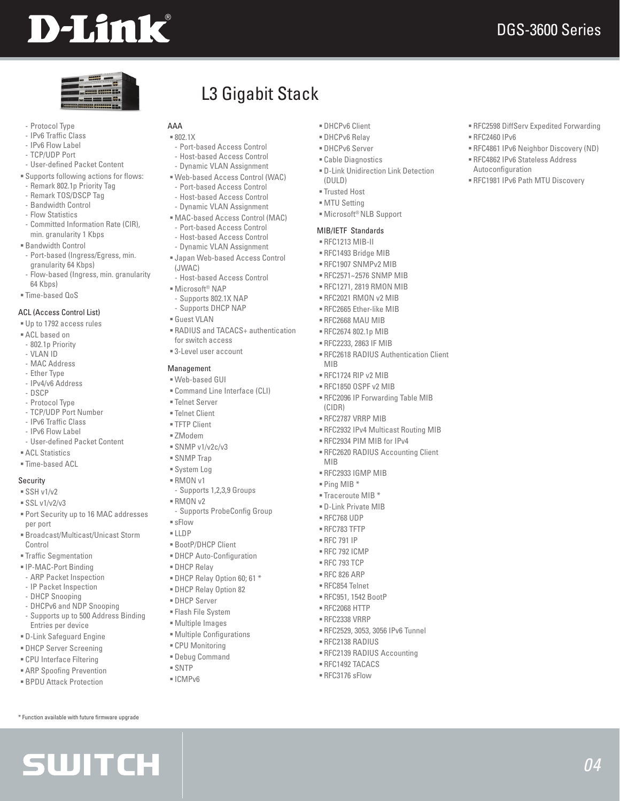# **D-Link**

RFC2598 DiffServ Expedited Forwarding

 RFC4861 IPv6 Neighbor Discovery (ND) RFC4862 IPv6 Stateless Address

RFC1981 IPv6 Path MTU Discovery

RFC2460 IPv6

Autoconfiguration

*04*

| ٠      |   |
|--------|---|
| ٠<br>۰ | ≂ |
|        |   |
|        |   |

- Protocol Type
- IPv6 Traffic Class
- IPv6 Flow Label
- TCP/UDP Port
- User-defined Packet Content
- Supports following actions for flows:
- Remark 802.1p Priority Tag - Remark TOS/DSCP Tag
- Bandwidth Control
- Flow Statistics
- Committed Information Rate (CIR),
- min. granularity 1 Kbps
- Bandwidth Control
- Port-based (Ingress/Egress, min. granularity 64 Kbps)
- Flow-based (Ingress, min. granularity
- 64 Kbps) Time-based QoS
- 

#### ACL (Access Control List)

- Up to 1792 access rules
- ACL based on
- 802.1p Priority
- VLAN ID
- MAC Address
- Ether Type - IPv4/v6 Address
- DSCP
- Protocol Type
- TCP/UDP Port Number
- IPv6 Traffic Class
- IPv6 Flow Label
- User-defined Packet Content
- ACL Statistics
- Time-based ACL

#### Security

- $SSH v1/v2$
- $SSL v1/v2/v3$
- Port Security up to 16 MAC addresses per port
- Broadcast/Multicast/Unicast Storm Control
- Traffic Segmentation
- IP-MAC-Port Binding
- ARP Packet Inspection
- IP Packet Inspection
- DHCP Snooping
- DHCPv6 and NDP Snooping - Supports up to 500 Address Binding Entries per device
- D-Link Safeguard Engine
- DHCP Server Screening
- CPU Interface Filtering
- ARP Spoofing Prevention

\* Function available with future firmware upgrade

**SWITCH** 

BPDU Attack Protection

L3 Gigabit Stack

#### AAA

- 802.1X
- Port-based Access Control - Host-based Access Control
- Dynamic VLAN Assignment
- Web-based Access Control (WAC)
- Port-based Access Control
- Host-based Access Control
- Dynamic VLAN Assignment
- MAC-based Access Control (MAC)
- Port-based Access Control
- Host-based Access Control
- Dynamic VLAN Assignment Japan Web-based Access Control
- (JWAC) - Host-based Access Control
- Microsoft® NAP
- Supports 802.1X NAP - Supports DHCP NAP
- Guest VLAN
- RADIUS and TACACS+ authentication for switch access
- 3-Level user account

#### Management

- Web-based GUI
- Command Line Interface (CLI)
- Telnet Server
- Telnet Client
- TFTP Client
- ZModem
- $=$  SNMP v1/v2c/v3
- SNMP Trap
- System Log
- RMON v1
- Supports 1,2,3,9 Groups
- $RMONv2$
- Supports ProbeConfig Group
- sFlow
- $LIDP$
- BootP/DHCP Client
- DHCP Auto-Configuration
- DHCP Relay
- DHCP Relay Option 60; 61 \*
- DHCP Relay Option 82
- DHCP Server
- Flash File System
- 
- Multiple Images
- Multiple Configurations
- CPU Monitoring
- Debug Command
- SNTP
- $=$ ICMPv6

 DHCPv6 Client DHCPv6 Relay

 DHCPv6 Server Cable Diagnostics

(DULD) Trusted Host **MTU Setting** 

MIB

(CIDR)

MIB

 RFC1724 RIP v2 MIB RFC1850 OSPF v2 MIB

RFC2787 VRRP MIB

 RFC2933 IGMP MIB  $=$  Ping MIB  $*$  $\overline{\phantom{a}}$  Traceroute MIB  $\overline{\phantom{a}}$  D-Link Private MIB RFC768 UDP RFC783 TFTP RFC 791 IP  $RFC 792$   $ICMP$  RFC 793 TCP RFC 826 ARP RFC854 Telnet RFC951, 1542 BootP RFC2068 HTTP RFC2338 VRRP

D-Link Unidirection Link Detection

RFC2618 RADIUS Authentication Client

RFC2096 IP Forwarding Table MIB

 RFC2932 IPv4 Multicast Routing MIB RFC2934 PIM MIB for IPv4 RFC2620 RADIUS Accounting Client

RFC2529, 3053, 3056 IPv6 Tunnel

RFC2139 RADIUS Accounting

RFC2138 RADIUS

 RFC1492 TACACS RFC3176 sFlow

 Microsoft® NLB Support MIB/IETF Standards RFC1213 MIB-II RFC1493 Bridge MIB RFC1907 SNMPv2 MIB RFC2571~2576 SNMP MIB RFC1271, 2819 RMON MIB  $RFC2021$  RMON v2 MIB RFC2665 Ether-like MIB RFC2668 MAU MIB RFC2674 802.1p MIB RFC2233, 2863 IF MIB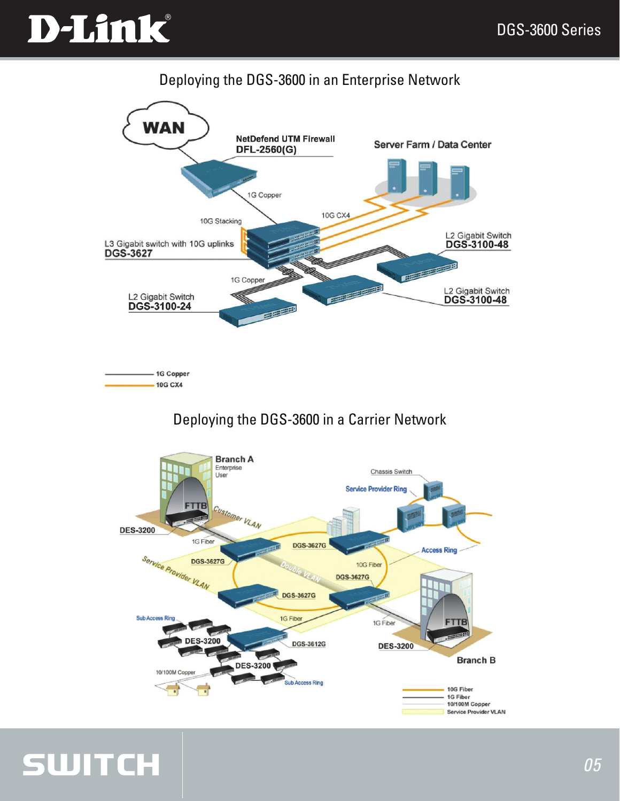# D-Link®

### Deploying the DGS-3600 in an Enterprise Network



1G Copper  $-10G CX4$ 

**SWITCH** 

### Deploying the DGS-3600 in a Carrier Network